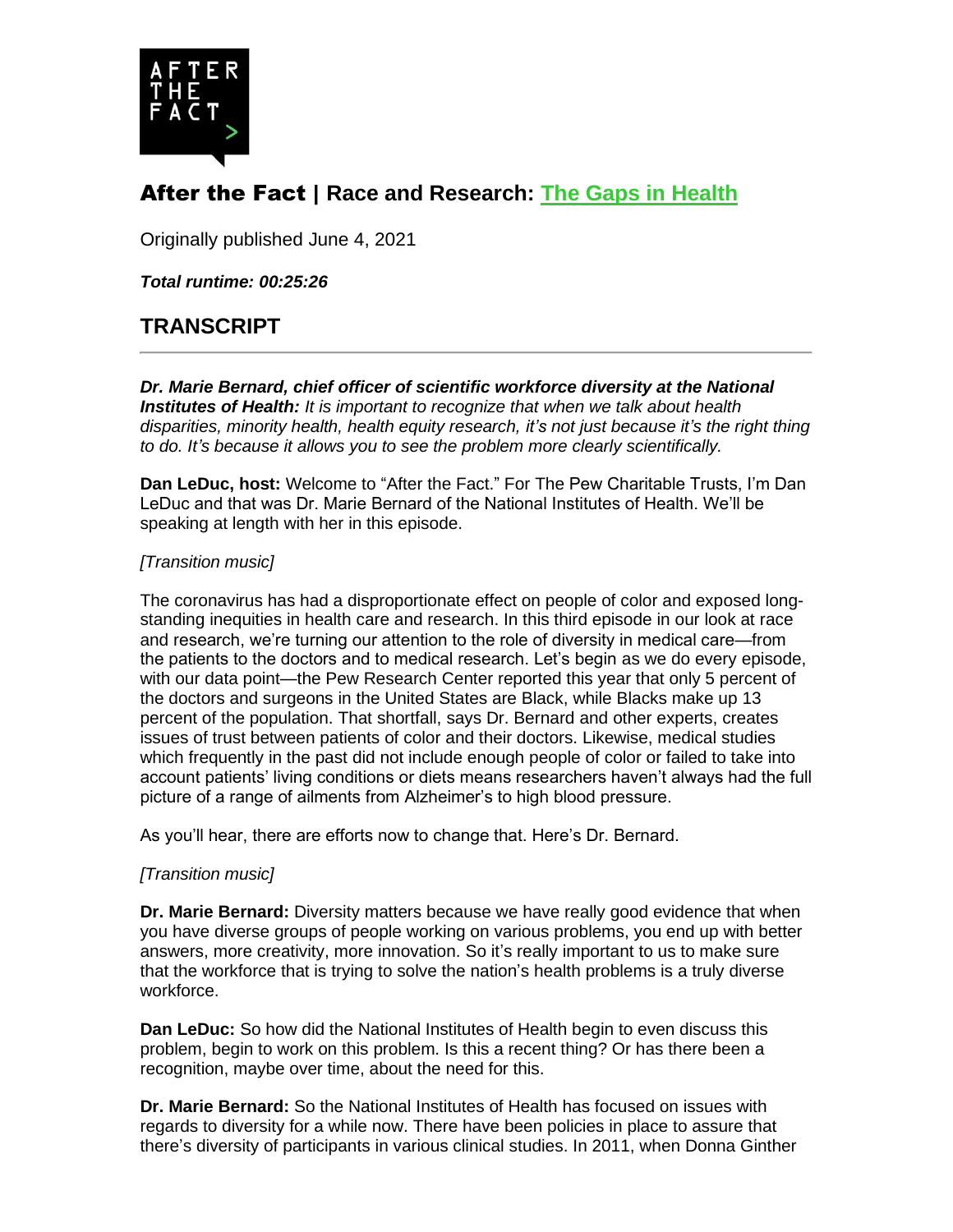

# After the Fact | **Race and Research: [The Gaps in Health](https://www.pewtrusts.org/research-and-analysis/articles/2021/06/04/race-and-research-the-gaps-in-health)**

Originally published June 4, 2021

*Total runtime: 00:25:26*

# **TRANSCRIPT**

*Dr. Marie Bernard, chief officer of scientific workforce diversity at the National Institutes of Health: It is important to recognize that when we talk about health disparities, minority health, health equity research, it's not just because it's the right thing to do. It's because it allows you to see the problem more clearly scientifically.*

**Dan LeDuc, host:** Welcome to "After the Fact." For The Pew Charitable Trusts, I'm Dan LeDuc and that was Dr. Marie Bernard of the National Institutes of Health. We'll be speaking at length with her in this episode.

## *[Transition music]*

The coronavirus has had a disproportionate effect on people of color and exposed longstanding inequities in health care and research. In this third episode in our look at race and research, we're turning our attention to the role of diversity in medical care—from the patients to the doctors and to medical research. Let's begin as we do every episode, with our data point—the Pew Research Center reported this year that only 5 percent of the doctors and surgeons in the United States are Black, while Blacks make up 13 percent of the population. That shortfall, says Dr. Bernard and other experts, creates issues of trust between patients of color and their doctors. Likewise, medical studies which frequently in the past did not include enough people of color or failed to take into account patients' living conditions or diets means researchers haven't always had the full picture of a range of ailments from Alzheimer's to high blood pressure.

As you'll hear, there are efforts now to change that. Here's Dr. Bernard.

#### *[Transition music]*

**Dr. Marie Bernard:** Diversity matters because we have really good evidence that when you have diverse groups of people working on various problems, you end up with better answers, more creativity, more innovation. So it's really important to us to make sure that the workforce that is trying to solve the nation's health problems is a truly diverse workforce.

**Dan LeDuc:** So how did the National Institutes of Health begin to even discuss this problem, begin to work on this problem. Is this a recent thing? Or has there been a recognition, maybe over time, about the need for this.

**Dr. Marie Bernard:** So the National Institutes of Health has focused on issues with regards to diversity for a while now. There have been policies in place to assure that there's diversity of participants in various clinical studies. In 2011, when Donna Ginther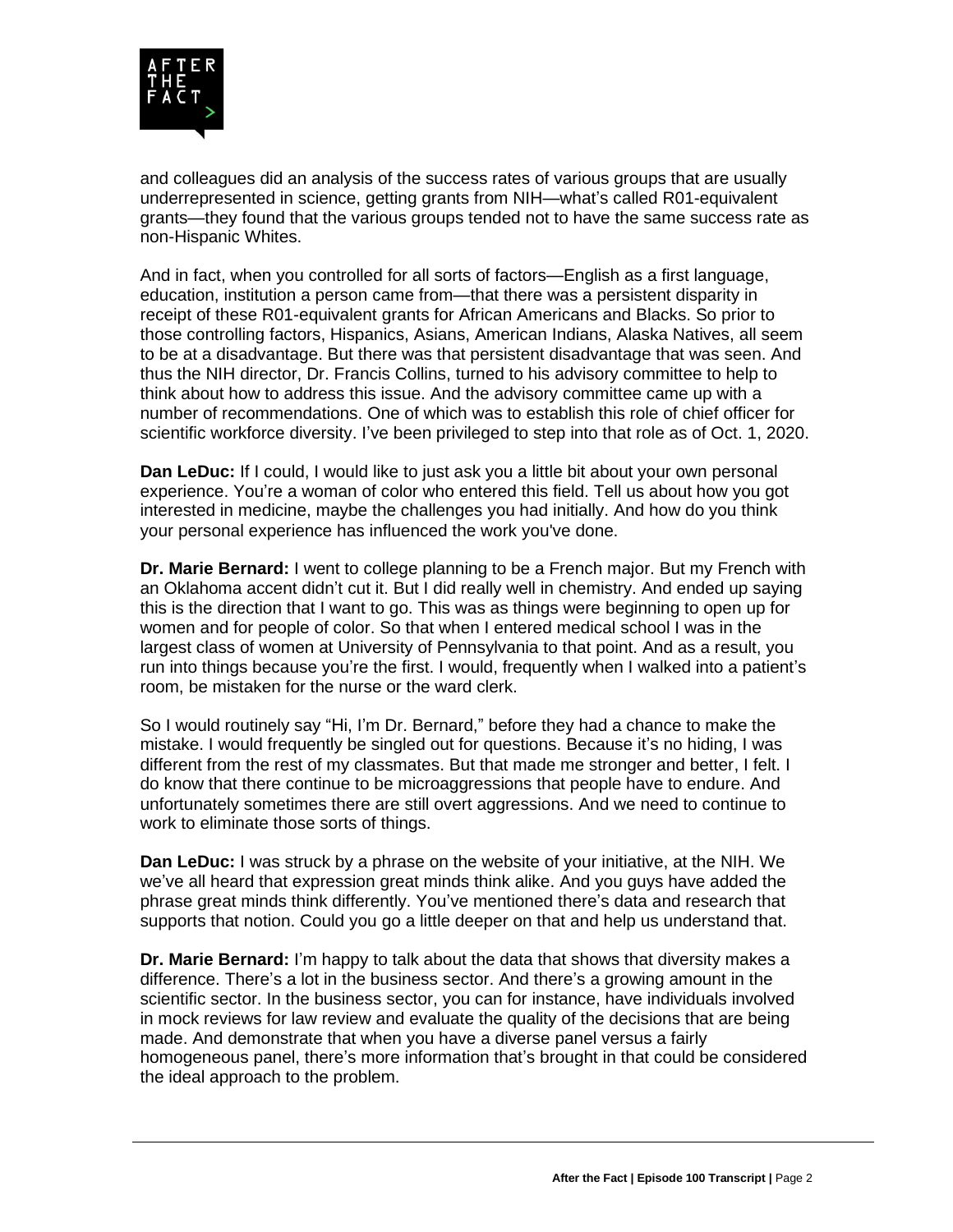

and colleagues did an analysis of the success rates of various groups that are usually underrepresented in science, getting grants from NIH—what's called R01-equivalent grants—they found that the various groups tended not to have the same success rate as non-Hispanic Whites.

And in fact, when you controlled for all sorts of factors—English as a first language, education, institution a person came from—that there was a persistent disparity in receipt of these R01-equivalent grants for African Americans and Blacks. So prior to those controlling factors, Hispanics, Asians, American Indians, Alaska Natives, all seem to be at a disadvantage. But there was that persistent disadvantage that was seen. And thus the NIH director, Dr. Francis Collins, turned to his advisory committee to help to think about how to address this issue. And the advisory committee came up with a number of recommendations. One of which was to establish this role of chief officer for scientific workforce diversity. I've been privileged to step into that role as of Oct. 1, 2020.

**Dan LeDuc:** If I could, I would like to just ask you a little bit about your own personal experience. You're a woman of color who entered this field. Tell us about how you got interested in medicine, maybe the challenges you had initially. And how do you think your personal experience has influenced the work you've done.

**Dr. Marie Bernard:** I went to college planning to be a French major. But my French with an Oklahoma accent didn't cut it. But I did really well in chemistry. And ended up saying this is the direction that I want to go. This was as things were beginning to open up for women and for people of color. So that when I entered medical school I was in the largest class of women at University of Pennsylvania to that point. And as a result, you run into things because you're the first. I would, frequently when I walked into a patient's room, be mistaken for the nurse or the ward clerk.

So I would routinely say "Hi, I'm Dr. Bernard," before they had a chance to make the mistake. I would frequently be singled out for questions. Because it's no hiding, I was different from the rest of my classmates. But that made me stronger and better, I felt. I do know that there continue to be microaggressions that people have to endure. And unfortunately sometimes there are still overt aggressions. And we need to continue to work to eliminate those sorts of things.

**Dan LeDuc:** I was struck by a phrase on the website of your initiative, at the NIH. We we've all heard that expression great minds think alike. And you guys have added the phrase great minds think differently. You've mentioned there's data and research that supports that notion. Could you go a little deeper on that and help us understand that.

**Dr. Marie Bernard:** I'm happy to talk about the data that shows that diversity makes a difference. There's a lot in the business sector. And there's a growing amount in the scientific sector. In the business sector, you can for instance, have individuals involved in mock reviews for law review and evaluate the quality of the decisions that are being made. And demonstrate that when you have a diverse panel versus a fairly homogeneous panel, there's more information that's brought in that could be considered the ideal approach to the problem.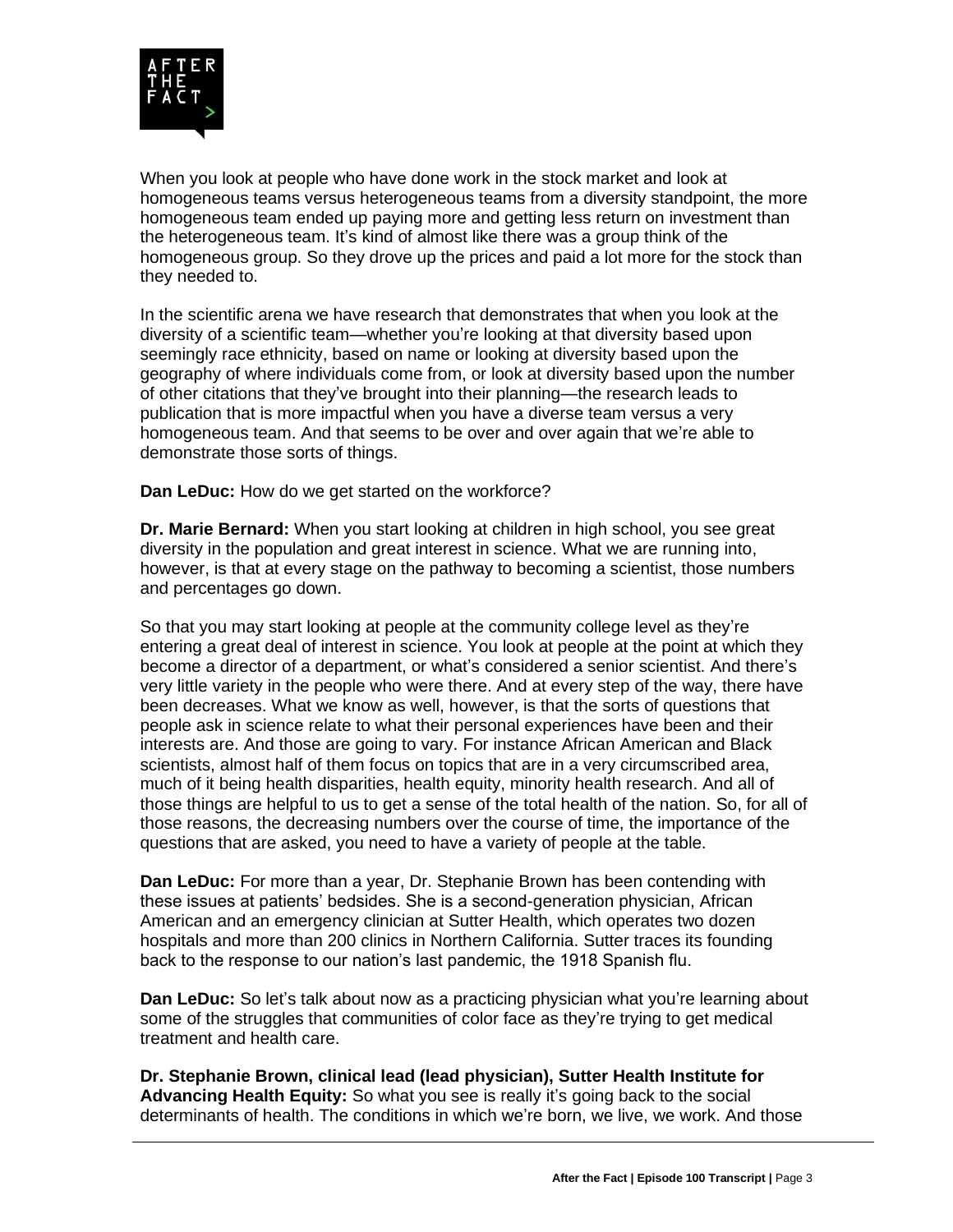

When you look at people who have done work in the stock market and look at homogeneous teams versus heterogeneous teams from a diversity standpoint, the more homogeneous team ended up paying more and getting less return on investment than the heterogeneous team. It's kind of almost like there was a group think of the homogeneous group. So they drove up the prices and paid a lot more for the stock than they needed to.

In the scientific arena we have research that demonstrates that when you look at the diversity of a scientific team—whether you're looking at that diversity based upon seemingly race ethnicity, based on name or looking at diversity based upon the geography of where individuals come from, or look at diversity based upon the number of other citations that they've brought into their planning—the research leads to publication that is more impactful when you have a diverse team versus a very homogeneous team. And that seems to be over and over again that we're able to demonstrate those sorts of things.

**Dan LeDuc:** How do we get started on the workforce?

**Dr. Marie Bernard:** When you start looking at children in high school, you see great diversity in the population and great interest in science. What we are running into, however, is that at every stage on the pathway to becoming a scientist, those numbers and percentages go down.

So that you may start looking at people at the community college level as they're entering a great deal of interest in science. You look at people at the point at which they become a director of a department, or what's considered a senior scientist. And there's very little variety in the people who were there. And at every step of the way, there have been decreases. What we know as well, however, is that the sorts of questions that people ask in science relate to what their personal experiences have been and their interests are. And those are going to vary. For instance African American and Black scientists, almost half of them focus on topics that are in a very circumscribed area, much of it being health disparities, health equity, minority health research. And all of those things are helpful to us to get a sense of the total health of the nation. So, for all of those reasons, the decreasing numbers over the course of time, the importance of the questions that are asked, you need to have a variety of people at the table.

**Dan LeDuc:** For more than a year, Dr. Stephanie Brown has been contending with these issues at patients' bedsides. She is a second-generation physician, African American and an emergency clinician at Sutter Health, which operates two dozen hospitals and more than 200 clinics in Northern California. Sutter traces its founding back to the response to our nation's last pandemic, the 1918 Spanish flu.

**Dan LeDuc:** So let's talk about now as a practicing physician what you're learning about some of the struggles that communities of color face as they're trying to get medical treatment and health care.

**Dr. Stephanie Brown, clinical lead (lead physician), Sutter Health Institute for Advancing Health Equity:** So what you see is really it's going back to the social determinants of health. The conditions in which we're born, we live, we work. And those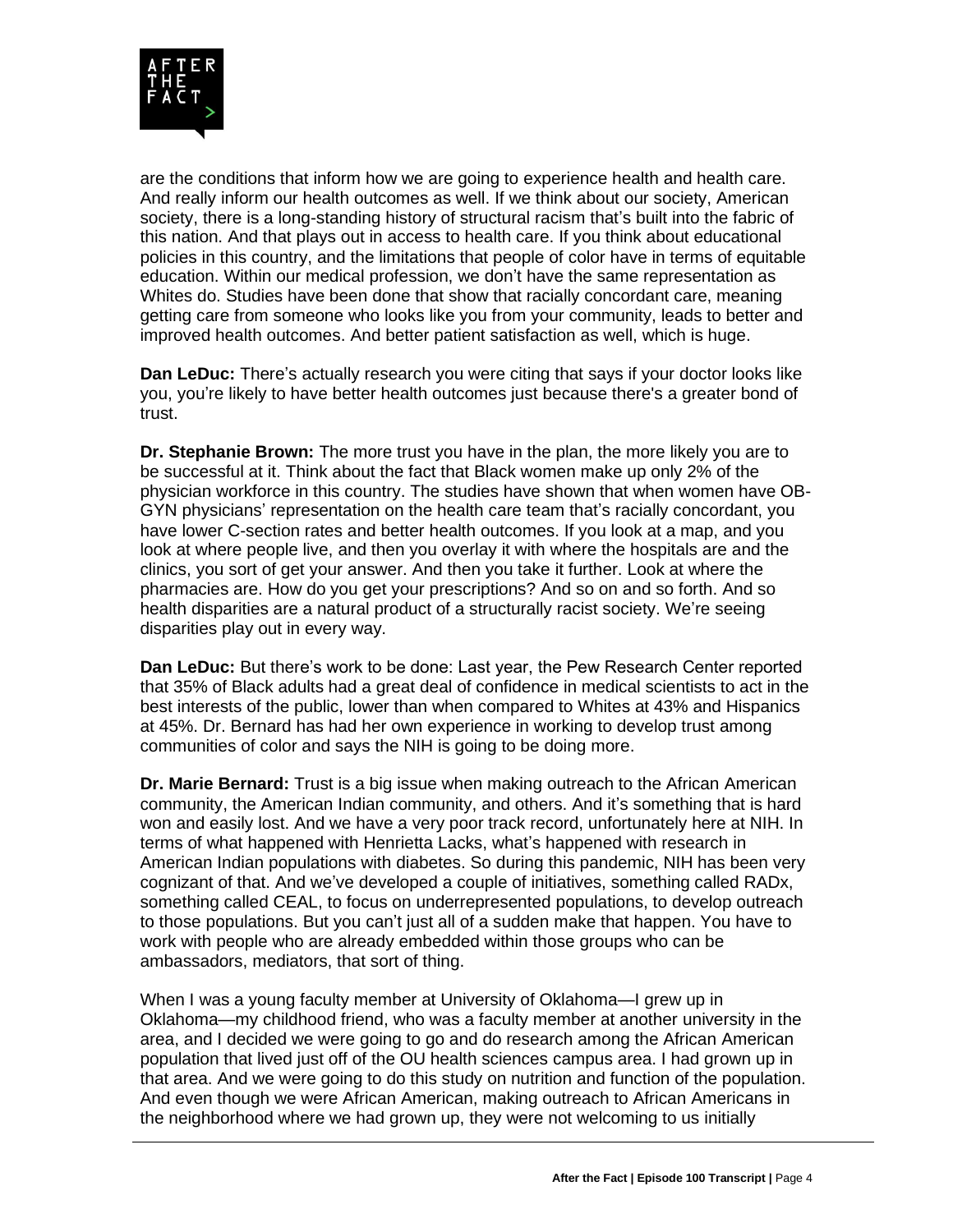

are the conditions that inform how we are going to experience health and health care. And really inform our health outcomes as well. If we think about our society, American society, there is a long-standing history of structural racism that's built into the fabric of this nation. And that plays out in access to health care. If you think about educational policies in this country, and the limitations that people of color have in terms of equitable education. Within our medical profession, we don't have the same representation as Whites do. Studies have been done that show that racially concordant care, meaning getting care from someone who looks like you from your community, leads to better and improved health outcomes. And better patient satisfaction as well, which is huge.

**Dan LeDuc:** There's actually research you were citing that says if your doctor looks like you, you're likely to have better health outcomes just because there's a greater bond of trust.

**Dr. Stephanie Brown:** The more trust you have in the plan, the more likely you are to be successful at it. Think about the fact that Black women make up only 2% of the physician workforce in this country. The studies have shown that when women have OB-GYN physicians' representation on the health care team that's racially concordant, you have lower C-section rates and better health outcomes. If you look at a map, and you look at where people live, and then you overlay it with where the hospitals are and the clinics, you sort of get your answer. And then you take it further. Look at where the pharmacies are. How do you get your prescriptions? And so on and so forth. And so health disparities are a natural product of a structurally racist society. We're seeing disparities play out in every way.

**Dan LeDuc:** But there's work to be done: Last year, the Pew Research Center reported that 35% of Black adults had a great deal of confidence in medical scientists to act in the best interests of the public, lower than when compared to Whites at 43% and Hispanics at 45%. Dr. Bernard has had her own experience in working to develop trust among communities of color and says the NIH is going to be doing more.

**Dr. Marie Bernard:** Trust is a big issue when making outreach to the African American community, the American Indian community, and others. And it's something that is hard won and easily lost. And we have a very poor track record, unfortunately here at NIH. In terms of what happened with Henrietta Lacks, what's happened with research in American Indian populations with diabetes. So during this pandemic, NIH has been very cognizant of that. And we've developed a couple of initiatives, something called RADx, something called CEAL, to focus on underrepresented populations, to develop outreach to those populations. But you can't just all of a sudden make that happen. You have to work with people who are already embedded within those groups who can be ambassadors, mediators, that sort of thing.

When I was a young faculty member at University of Oklahoma—I grew up in Oklahoma—my childhood friend, who was a faculty member at another university in the area, and I decided we were going to go and do research among the African American population that lived just off of the OU health sciences campus area. I had grown up in that area. And we were going to do this study on nutrition and function of the population. And even though we were African American, making outreach to African Americans in the neighborhood where we had grown up, they were not welcoming to us initially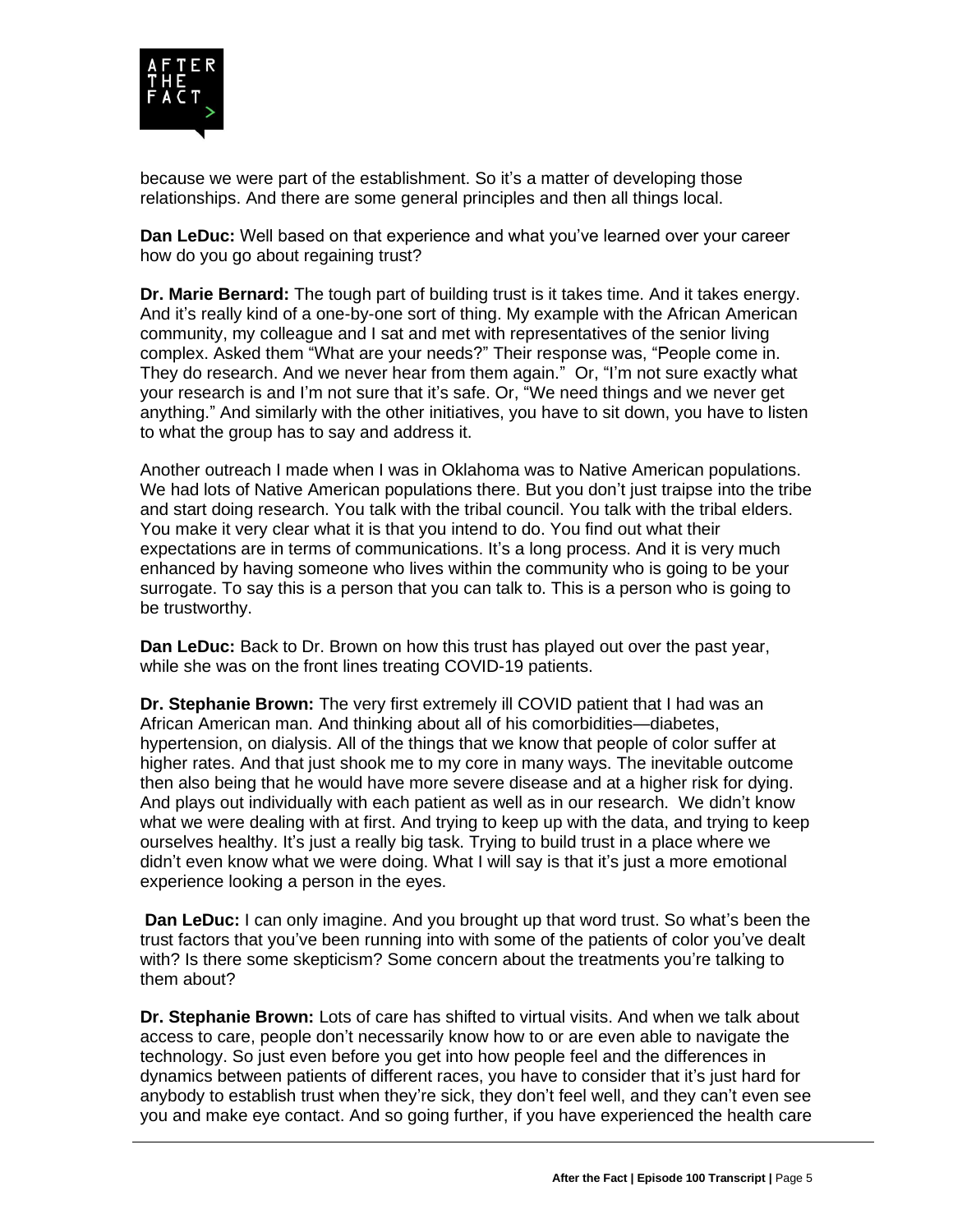

because we were part of the establishment. So it's a matter of developing those relationships. And there are some general principles and then all things local.

**Dan LeDuc:** Well based on that experience and what you've learned over your career how do you go about regaining trust?

**Dr. Marie Bernard:** The tough part of building trust is it takes time. And it takes energy. And it's really kind of a one-by-one sort of thing. My example with the African American community, my colleague and I sat and met with representatives of the senior living complex. Asked them "What are your needs?" Their response was, "People come in. They do research. And we never hear from them again." Or, "I'm not sure exactly what your research is and I'm not sure that it's safe. Or, "We need things and we never get anything." And similarly with the other initiatives, you have to sit down, you have to listen to what the group has to say and address it.

Another outreach I made when I was in Oklahoma was to Native American populations. We had lots of Native American populations there. But you don't just traipse into the tribe and start doing research. You talk with the tribal council. You talk with the tribal elders. You make it very clear what it is that you intend to do. You find out what their expectations are in terms of communications. It's a long process. And it is very much enhanced by having someone who lives within the community who is going to be your surrogate. To say this is a person that you can talk to. This is a person who is going to be trustworthy.

**Dan LeDuc:** Back to Dr. Brown on how this trust has played out over the past year, while she was on the front lines treating COVID-19 patients.

**Dr. Stephanie Brown:** The very first extremely ill COVID patient that I had was an African American man. And thinking about all of his comorbidities—diabetes, hypertension, on dialysis. All of the things that we know that people of color suffer at higher rates. And that just shook me to my core in many ways. The inevitable outcome then also being that he would have more severe disease and at a higher risk for dying. And plays out individually with each patient as well as in our research. We didn't know what we were dealing with at first. And trying to keep up with the data, and trying to keep ourselves healthy. It's just a really big task. Trying to build trust in a place where we didn't even know what we were doing. What I will say is that it's just a more emotional experience looking a person in the eyes.

**Dan LeDuc:** I can only imagine. And you brought up that word trust. So what's been the trust factors that you've been running into with some of the patients of color you've dealt with? Is there some skepticism? Some concern about the treatments you're talking to them about?

**Dr. Stephanie Brown:** Lots of care has shifted to virtual visits. And when we talk about access to care, people don't necessarily know how to or are even able to navigate the technology. So just even before you get into how people feel and the differences in dynamics between patients of different races, you have to consider that it's just hard for anybody to establish trust when they're sick, they don't feel well, and they can't even see you and make eye contact. And so going further, if you have experienced the health care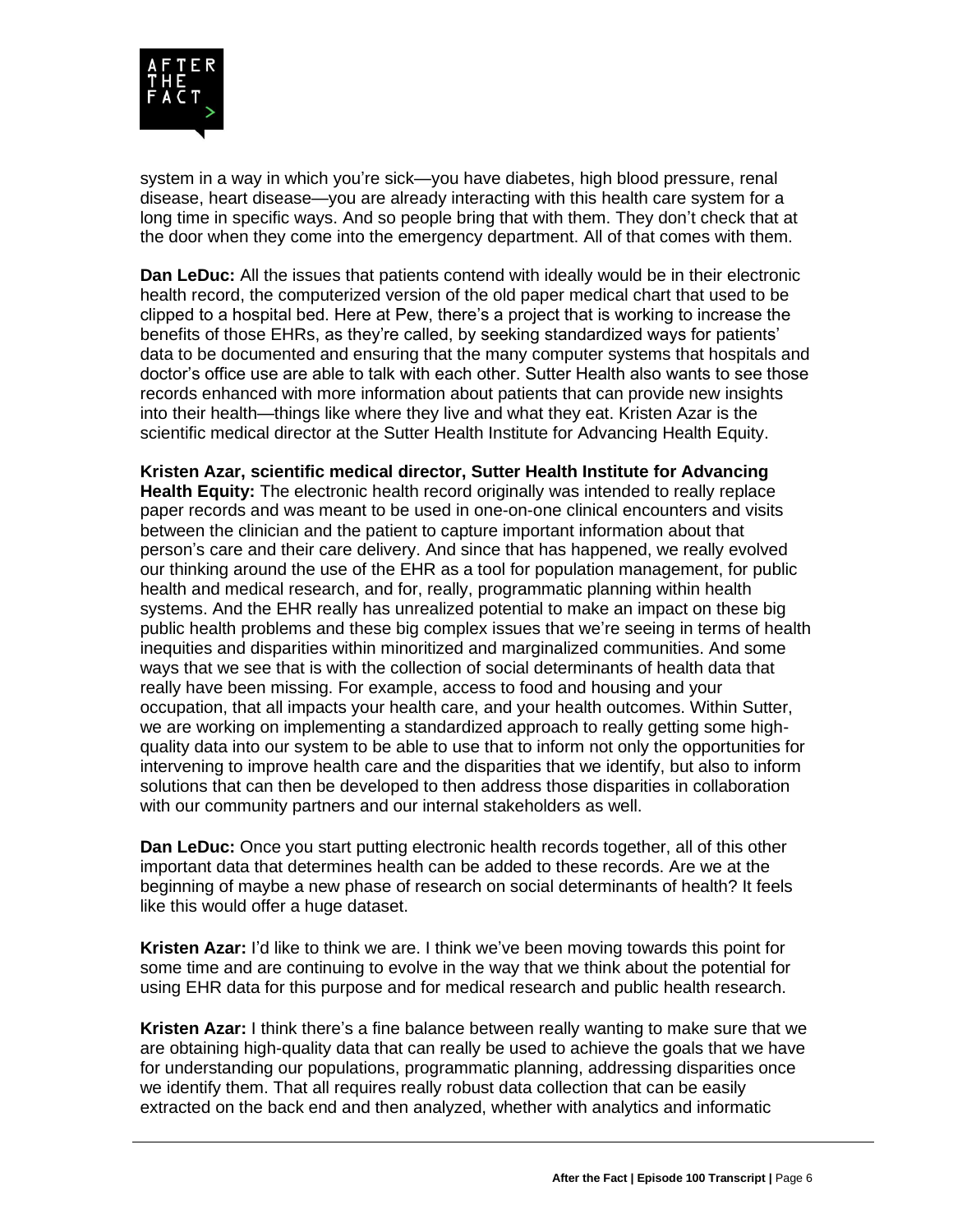

system in a way in which you're sick—you have diabetes, high blood pressure, renal disease, heart disease—you are already interacting with this health care system for a long time in specific ways. And so people bring that with them. They don't check that at the door when they come into the emergency department. All of that comes with them.

**Dan LeDuc:** All the issues that patients contend with ideally would be in their electronic health record, the computerized version of the old paper medical chart that used to be clipped to a hospital bed. Here at Pew, there's a project that is working to increase the benefits of those EHRs, as they're called, by seeking standardized ways for patients' data to be documented and ensuring that the many computer systems that hospitals and doctor's office use are able to talk with each other. Sutter Health also wants to see those records enhanced with more information about patients that can provide new insights into their health—things like where they live and what they eat. Kristen Azar is the scientific medical director at the Sutter Health Institute for Advancing Health Equity.

**Kristen Azar, scientific medical director, Sutter Health Institute for Advancing Health Equity:** The electronic health record originally was intended to really replace paper records and was meant to be used in one-on-one clinical encounters and visits between the clinician and the patient to capture important information about that person's care and their care delivery. And since that has happened, we really evolved our thinking around the use of the EHR as a tool for population management, for public health and medical research, and for, really, programmatic planning within health systems. And the EHR really has unrealized potential to make an impact on these big public health problems and these big complex issues that we're seeing in terms of health inequities and disparities within minoritized and marginalized communities. And some ways that we see that is with the collection of social determinants of health data that really have been missing. For example, access to food and housing and your occupation, that all impacts your health care, and your health outcomes. Within Sutter, we are working on implementing a standardized approach to really getting some highquality data into our system to be able to use that to inform not only the opportunities for intervening to improve health care and the disparities that we identify, but also to inform solutions that can then be developed to then address those disparities in collaboration with our community partners and our internal stakeholders as well.

**Dan LeDuc:** Once you start putting electronic health records together, all of this other important data that determines health can be added to these records. Are we at the beginning of maybe a new phase of research on social determinants of health? It feels like this would offer a huge dataset.

**Kristen Azar:** I'd like to think we are. I think we've been moving towards this point for some time and are continuing to evolve in the way that we think about the potential for using EHR data for this purpose and for medical research and public health research.

**Kristen Azar:** I think there's a fine balance between really wanting to make sure that we are obtaining high-quality data that can really be used to achieve the goals that we have for understanding our populations, programmatic planning, addressing disparities once we identify them. That all requires really robust data collection that can be easily extracted on the back end and then analyzed, whether with analytics and informatic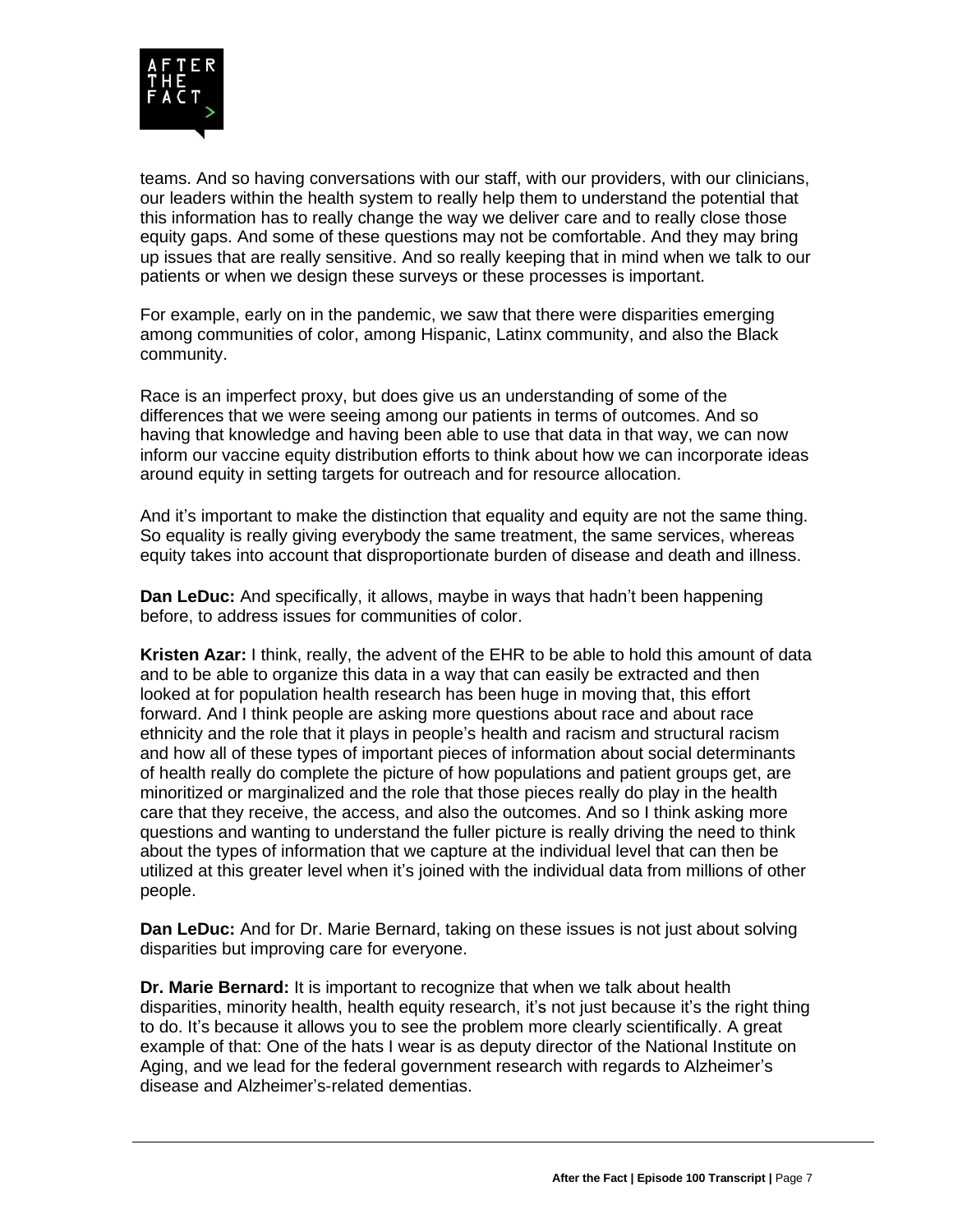

teams. And so having conversations with our staff, with our providers, with our clinicians, our leaders within the health system to really help them to understand the potential that this information has to really change the way we deliver care and to really close those equity gaps. And some of these questions may not be comfortable. And they may bring up issues that are really sensitive. And so really keeping that in mind when we talk to our patients or when we design these surveys or these processes is important.

For example, early on in the pandemic, we saw that there were disparities emerging among communities of color, among Hispanic, Latinx community, and also the Black community.

Race is an imperfect proxy, but does give us an understanding of some of the differences that we were seeing among our patients in terms of outcomes. And so having that knowledge and having been able to use that data in that way, we can now inform our vaccine equity distribution efforts to think about how we can incorporate ideas around equity in setting targets for outreach and for resource allocation.

And it's important to make the distinction that equality and equity are not the same thing. So equality is really giving everybody the same treatment, the same services, whereas equity takes into account that disproportionate burden of disease and death and illness.

**Dan LeDuc:** And specifically, it allows, maybe in ways that hadn't been happening before, to address issues for communities of color.

**Kristen Azar:** I think, really, the advent of the EHR to be able to hold this amount of data and to be able to organize this data in a way that can easily be extracted and then looked at for population health research has been huge in moving that, this effort forward. And I think people are asking more questions about race and about race ethnicity and the role that it plays in people's health and racism and structural racism and how all of these types of important pieces of information about social determinants of health really do complete the picture of how populations and patient groups get, are minoritized or marginalized and the role that those pieces really do play in the health care that they receive, the access, and also the outcomes. And so I think asking more questions and wanting to understand the fuller picture is really driving the need to think about the types of information that we capture at the individual level that can then be utilized at this greater level when it's joined with the individual data from millions of other people.

**Dan LeDuc:** And for Dr. Marie Bernard, taking on these issues is not just about solving disparities but improving care for everyone.

**Dr. Marie Bernard:** It is important to recognize that when we talk about health disparities, minority health, health equity research, it's not just because it's the right thing to do. It's because it allows you to see the problem more clearly scientifically. A great example of that: One of the hats I wear is as deputy director of the National Institute on Aging, and we lead for the federal government research with regards to Alzheimer's disease and Alzheimer's-related dementias.